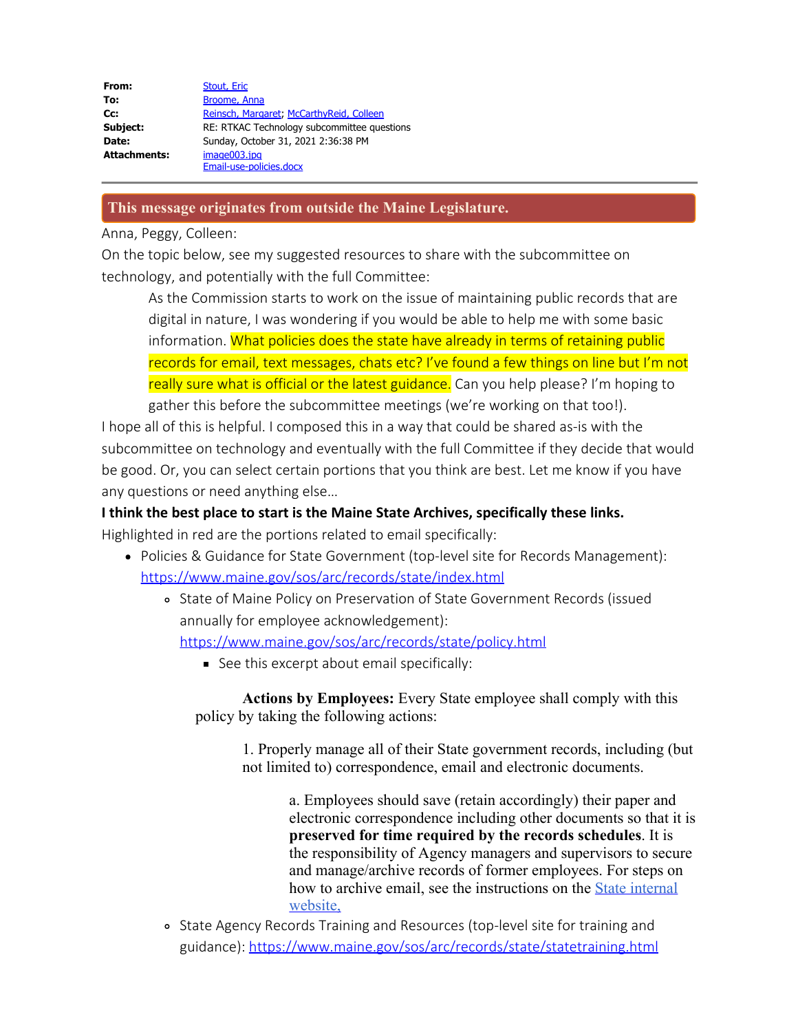| From:               | Stout, Eric                                 |
|---------------------|---------------------------------------------|
| To:                 | Broome, Anna                                |
| Cc:                 | Reinsch, Margaret, McCarthyReid, Colleen    |
| Subject:            | RE: RTKAC Technology subcommittee questions |
| Date:               | Sunday, October 31, 2021 2:36:38 PM         |
| <b>Attachments:</b> | image003.jpg                                |
|                     | Email-use-policies.docx                     |

## **This message originates from outside the Maine Legislature.**

Anna, Peggy, Colleen:

On the topic below, see my suggested resources to share with the subcommittee on technology, and potentially with the full Committee:

As the Commission starts to work on the issue of maintaining public records that are digital in nature, I was wondering if you would be able to help me with some basic information. What policies does the state have already in terms of retaining public records for email, text messages, chats etc? I've found a few things on line but I'm not really sure what is official or the latest guidance. Can you help please? I'm hoping to gather this before the subcommittee meetings (we're working on that too!).

I hope all of this is helpful. I composed this in a way that could be shared as-is with the subcommittee on technology and eventually with the full Committee if they decide that would be good. Or, you can select certain portions that you think are best. Let me know if you have any questions or need anything else…

## **I think the best place to start is the Maine State Archives, specifically these links.**

Highlighted in red are the portions related to email specifically:

Policies & Guidance for State Government (top-level site for Records Management): <https://www.maine.gov/sos/arc/records/state/index.html>

State of Maine Policy on Preservation of State Government Records (issued annually for employee acknowledgement):

<https://www.maine.gov/sos/arc/records/state/policy.html>

See this excerpt about email specifically:

**Actions by Employees:** Every State employee shall comply with this policy by taking the following actions:

1. Properly manage all of their State government records, including (but not limited to) correspondence, email and electronic documents.

> a. Employees should save (retain accordingly) their paper and electronic correspondence including other documents so that it is **preserved for time required by the records schedules**. It is the responsibility of Agency managers and supervisors to secure and manage/archive records of former employees. For steps on how to archive email, see the instructions on the **State** internal [website,](http://inet.state.me.us/foaa/all_employees.html#Email)

State Agency Records Training and Resources (top-level site for training and guidance):<https://www.maine.gov/sos/arc/records/state/statetraining.html>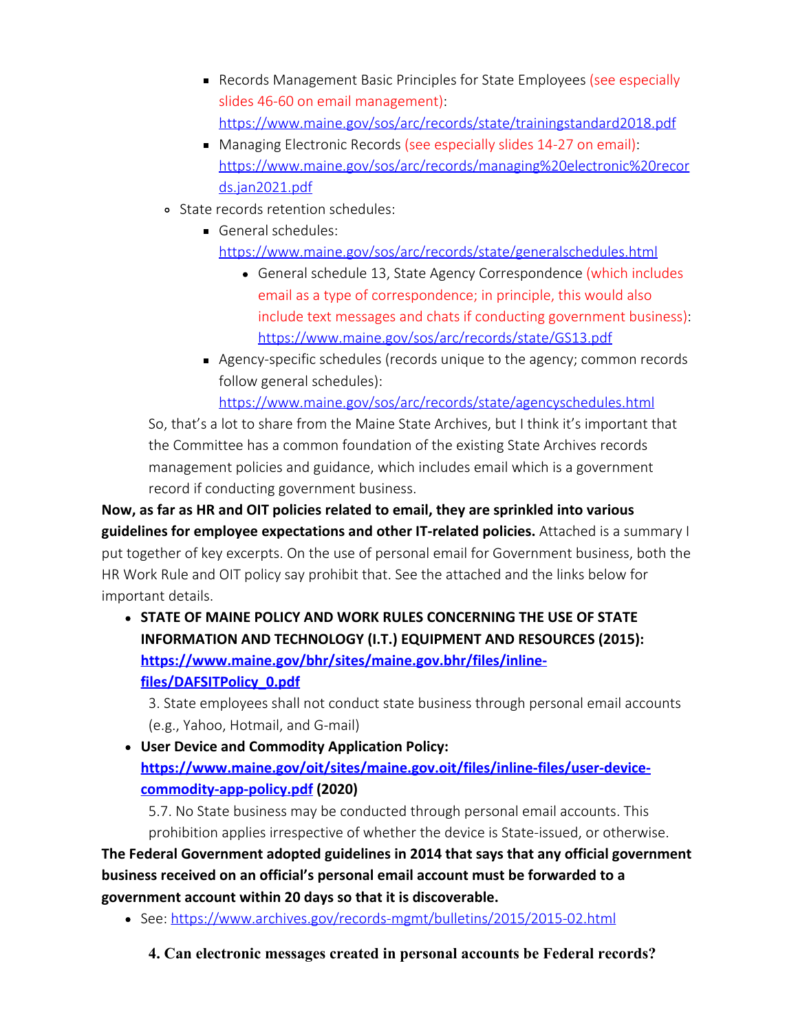- Records Management Basic Principles for State Employees (see especially slides 46-60 on email management): <https://www.maine.gov/sos/arc/records/state/trainingstandard2018.pdf>
- **Managing Electronic Records (see especially slides 14-27 on email):** [https://www.maine.gov/sos/arc/records/managing%20electronic%20recor](https://www.maine.gov/sos/arc/records/managing%20electronic%20records.jan2021.pdf) [ds.jan2021.pdf](https://www.maine.gov/sos/arc/records/managing%20electronic%20records.jan2021.pdf)
- State records retention schedules:
	- General schedules: <https://www.maine.gov/sos/arc/records/state/generalschedules.html>
		- General schedule 13, State Agency Correspondence (which includes email as a type of correspondence; in principle, this would also include text messages and chats if conducting government business): <https://www.maine.gov/sos/arc/records/state/GS13.pdf>
	- Agency-specific schedules (records unique to the agency; common records follow general schedules):

<https://www.maine.gov/sos/arc/records/state/agencyschedules.html>

So, that's a lot to share from the Maine State Archives, but I think it's important that the Committee has a common foundation of the existing State Archives records management policies and guidance, which includes email which is a government record if conducting government business.

**Now, as far as HR and OIT policies related to email, they are sprinkled into various guidelines for employee expectations and other IT-related policies.** Attached is a summary I put together of key excerpts. On the use of personal email for Government business, both the HR Work Rule and OIT policy say prohibit that. See the attached and the links below for important details.

**STATE OF MAINE POLICY AND WORK RULES CONCERNING THE USE OF STATE INFORMATION AND TECHNOLOGY (I.T.) EQUIPMENT AND RESOURCES (2015): [https://www.maine.gov/bhr/sites/maine.gov.bhr/files/inline](https://www.maine.gov/bhr/sites/maine.gov.bhr/files/inline-files/DAFSITPolicy_0.pdf)[files/DAFSITPolicy\\_0.pdf](https://www.maine.gov/bhr/sites/maine.gov.bhr/files/inline-files/DAFSITPolicy_0.pdf)**

3. State employees shall not conduct state business through personal email accounts (e.g., Yahoo, Hotmail, and G-mail)

**User Device and Commodity Application Policy: [https://www.maine.gov/oit/sites/maine.gov.oit/files/inline-files/user-device](https://www.maine.gov/oit/sites/maine.gov.oit/files/inline-files/user-device-commodity-app-policy.pdf)[commodity-app-policy.pdf](https://www.maine.gov/oit/sites/maine.gov.oit/files/inline-files/user-device-commodity-app-policy.pdf) (2020)**

5.7. No State business may be conducted through personal email accounts. This prohibition applies irrespective of whether the device is State-issued, or otherwise.

**The Federal Government adopted guidelines in 2014 that says that any official government business received on an official's personal email account must be forwarded to a government account within 20 days so that it is discoverable.**

- See:<https://www.archives.gov/records-mgmt/bulletins/2015/2015-02.html>
	- **4. Can electronic messages created in personal accounts be Federal records?**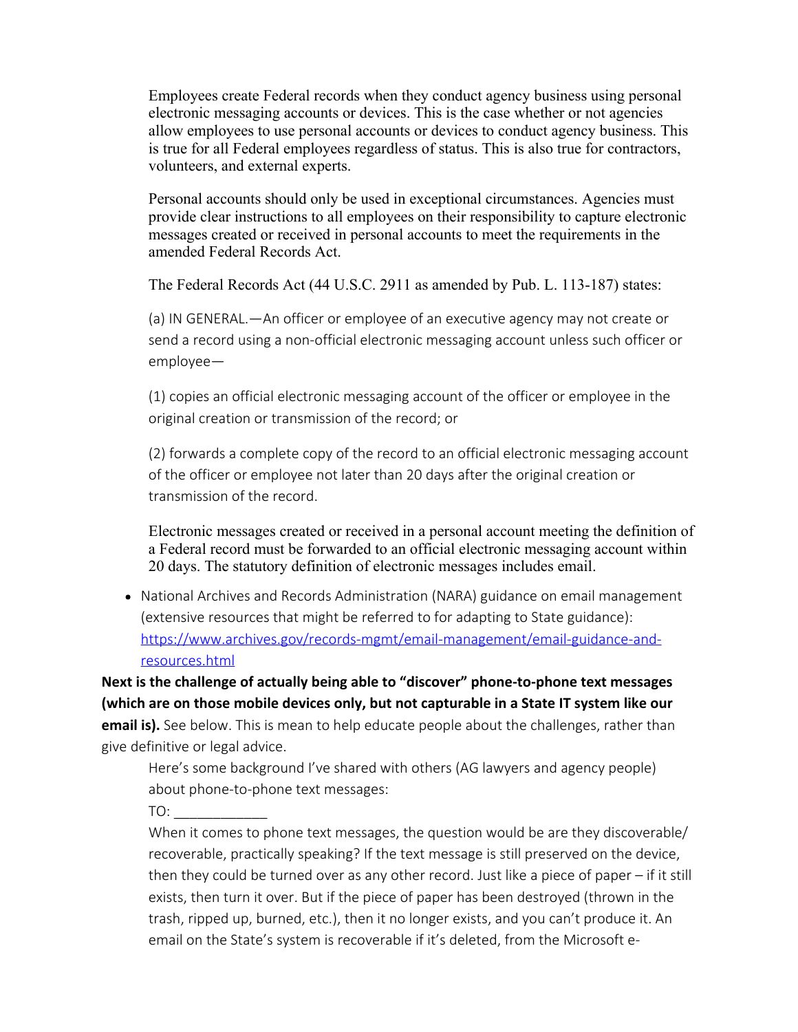Employees create Federal records when they conduct agency business using personal electronic messaging accounts or devices. This is the case whether or not agencies allow employees to use personal accounts or devices to conduct agency business. This is true for all Federal employees regardless of status. This is also true for contractors, volunteers, and external experts.

Personal accounts should only be used in exceptional circumstances. Agencies must provide clear instructions to all employees on their responsibility to capture electronic messages created or received in personal accounts to meet the requirements in the amended Federal Records Act.

The Federal Records Act (44 U.S.C. 2911 as amended by Pub. L. 113-187) states:

(a) IN GENERAL.—An officer or employee of an executive agency may not create or send a record using a non-official electronic messaging account unless such officer or employee—

(1) copies an official electronic messaging account of the officer or employee in the original creation or transmission of the record; or

(2) forwards a complete copy of the record to an official electronic messaging account of the officer or employee not later than 20 days after the original creation or transmission of the record.

Electronic messages created or received in a personal account meeting the definition of a Federal record must be forwarded to an official electronic messaging account within 20 days. The statutory definition of electronic messages includes email.

• National Archives and Records Administration (NARA) guidance on email management (extensive resources that might be referred to for adapting to State guidance): [https://www.archives.gov/records-mgmt/email-management/email-guidance-and](https://www.archives.gov/records-mgmt/email-management/email-guidance-and-resources.html)[resources.html](https://www.archives.gov/records-mgmt/email-management/email-guidance-and-resources.html)

**Next is the challenge of actually being able to "discover" phone-to-phone text messages (which are on those mobile devices only, but not capturable in a State IT system like our email is).** See below. This is mean to help educate people about the challenges, rather than give definitive or legal advice.

Here's some background I've shared with others (AG lawyers and agency people) about phone-to-phone text messages:

TO: \_\_\_\_\_\_\_\_\_\_\_\_

When it comes to phone text messages, the question would be are they discoverable/ recoverable, practically speaking? If the text message is still preserved on the device, then they could be turned over as any other record. Just like a piece of paper – if it still exists, then turn it over. But if the piece of paper has been destroyed (thrown in the trash, ripped up, burned, etc.), then it no longer exists, and you can't produce it. An email on the State's system is recoverable if it's deleted, from the Microsoft e-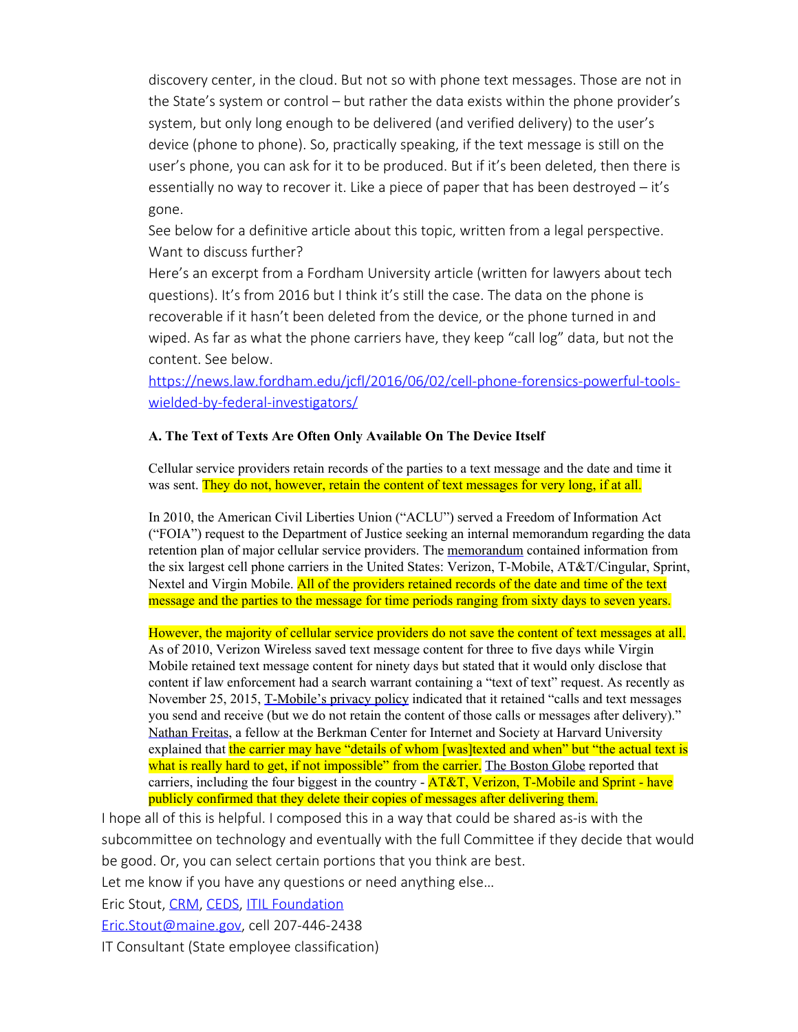discovery center, in the cloud. But not so with phone text messages. Those are not in the State's system or control – but rather the data exists within the phone provider's system, but only long enough to be delivered (and verified delivery) to the user's device (phone to phone). So, practically speaking, if the text message is still on the user's phone, you can ask for it to be produced. But if it's been deleted, then there is essentially no way to recover it. Like a piece of paper that has been destroyed – it's gone.

See below for a definitive article about this topic, written from a legal perspective. Want to discuss further?

Here's an excerpt from a Fordham University article (written for lawyers about tech questions). It's from 2016 but I think it's still the case. The data on the phone is recoverable if it hasn't been deleted from the device, or the phone turned in and wiped. As far as what the phone carriers have, they keep "call log" data, but not the content. See below.

[https://news.law.fordham.edu/jcfl/2016/06/02/cell-phone-forensics-powerful-tools](https://gcc02.safelinks.protection.outlook.com/?url=https%3A%2F%2Fnews.law.fordham.edu%2Fjcfl%2F2016%2F06%2F02%2Fcell-phone-forensics-powerful-tools-wielded-by-federal-investigators%2F&data=04%7C01%7CEric.Stout%40maine.gov%7C278b839714c24dbcfbb808d8b0e32da8%7C413fa8ab207d4b629bcdea1a8f2f864e%7C0%7C0%7C637453837050484219%7CUnknown%7CTWFpbGZsb3d8eyJWIjoiMC4wLjAwMDAiLCJQIjoiV2luMzIiLCJBTiI6Ik1haWwiLCJXVCI6Mn0%3D%7C1000&sdata=8fReXgwAT3MiFMMHk9E732%2FapnE2ohRwG4ynUC4Dvf0%3D&reserved=0)[wielded-by-federal-investigators/](https://gcc02.safelinks.protection.outlook.com/?url=https%3A%2F%2Fnews.law.fordham.edu%2Fjcfl%2F2016%2F06%2F02%2Fcell-phone-forensics-powerful-tools-wielded-by-federal-investigators%2F&data=04%7C01%7CEric.Stout%40maine.gov%7C278b839714c24dbcfbb808d8b0e32da8%7C413fa8ab207d4b629bcdea1a8f2f864e%7C0%7C0%7C637453837050484219%7CUnknown%7CTWFpbGZsb3d8eyJWIjoiMC4wLjAwMDAiLCJQIjoiV2luMzIiLCJBTiI6Ik1haWwiLCJXVCI6Mn0%3D%7C1000&sdata=8fReXgwAT3MiFMMHk9E732%2FapnE2ohRwG4ynUC4Dvf0%3D&reserved=0)

## **A. The Text of Texts Are Often Only Available On The Device Itself**

Cellular service providers retain records of the parties to a text message and the date and time it was sent. They do not, however, retain the content of text messages for very long, if at all.

In 2010, the American Civil Liberties Union ("ACLU") served a Freedom of Information Act ("FOIA") request to the Department of Justice seeking an internal memorandum regarding the data retention plan of major cellular service providers. The [memorandum](https://gcc02.safelinks.protection.outlook.com/?url=https%3A%2F%2Fwww.aclu.org%2Ffiles%2Fpdfs%2Ffreespeech%2Fretention_periods_of_major_cellular_service_providers.pdf&data=04%7C01%7CEric.Stout%40maine.gov%7C278b839714c24dbcfbb808d8b0e32da8%7C413fa8ab207d4b629bcdea1a8f2f864e%7C0%7C0%7C637453837050494168%7CUnknown%7CTWFpbGZsb3d8eyJWIjoiMC4wLjAwMDAiLCJQIjoiV2luMzIiLCJBTiI6Ik1haWwiLCJXVCI6Mn0%3D%7C1000&sdata=IEH4nx%2F%2FiLhjNpeVrvaKDieA8M7ySjbUmL3bFmAIKZk%3D&reserved=0) contained information from the six largest cell phone carriers in the United States: Verizon, T-Mobile, AT&T/Cingular, Sprint, Nextel and Virgin Mobile. All of the providers retained records of the date and time of the text message and the parties to the message for time periods ranging from sixty days to seven years.

However, the majority of cellular service providers do not save the content of text messages at all. As of 2010, Verizon Wireless saved text message content for three to five days while Virgin Mobile retained text message content for ninety days but stated that it would only disclose that content if law enforcement had a search warrant containing a "text of text" request. As recently as November 25, 2015, [T-Mobile's privacy policy](https://gcc02.safelinks.protection.outlook.com/?url=http%3A%2F%2Fwww.t-mobile.com%2Fcompany%2Fwebsite%2Fprivacypolicy.aspx&data=04%7C01%7CEric.Stout%40maine.gov%7C278b839714c24dbcfbb808d8b0e32da8%7C413fa8ab207d4b629bcdea1a8f2f864e%7C0%7C0%7C637453837050504128%7CUnknown%7CTWFpbGZsb3d8eyJWIjoiMC4wLjAwMDAiLCJQIjoiV2luMzIiLCJBTiI6Ik1haWwiLCJXVCI6Mn0%3D%7C1000&sdata=7sb8HiPifly0AkRawZz6zvodi%2FbNzYFB1qFWvnwKGAA%3D&reserved=0) indicated that it retained "calls and text messages you send and receive (but we do not retain the content of those calls or messages after delivery)." [Nathan Freitas,](https://gcc02.safelinks.protection.outlook.com/?url=http%3A%2F%2Fwww.bostonglobe.com%2Fbusiness%2F2015%2F07%2F30%2Fhow-hard-permanently-remove-texts%2FxaEGnJepduv4etBdLo2nFN%2Fstory.html&data=04%7C01%7CEric.Stout%40maine.gov%7C278b839714c24dbcfbb808d8b0e32da8%7C413fa8ab207d4b629bcdea1a8f2f864e%7C0%7C0%7C637453837050504128%7CUnknown%7CTWFpbGZsb3d8eyJWIjoiMC4wLjAwMDAiLCJQIjoiV2luMzIiLCJBTiI6Ik1haWwiLCJXVCI6Mn0%3D%7C1000&sdata=4XtS1ZuzLLhrwpJA%2F0PxBbfpr8hZh3UivPveMtXqG7Q%3D&reserved=0) a fellow at the Berkman Center for Internet and Society at Harvard University explained that the carrier may have "details of whom [was]texted and when" but "the actual text is what is really hard to get, if not impossible" from the carrier. [The Boston Globe](https://gcc02.safelinks.protection.outlook.com/?url=http%3A%2F%2Fwww.bostonglobe.com%2Fbusiness%2F2015%2F07%2F30%2Fhow-hard-permanently-remove-texts%2FxaEGnJepduv4etBdLo2nFN%2Fstory.html&data=04%7C01%7CEric.Stout%40maine.gov%7C278b839714c24dbcfbb808d8b0e32da8%7C413fa8ab207d4b629bcdea1a8f2f864e%7C0%7C0%7C637453837050514096%7CUnknown%7CTWFpbGZsb3d8eyJWIjoiMC4wLjAwMDAiLCJQIjoiV2luMzIiLCJBTiI6Ik1haWwiLCJXVCI6Mn0%3D%7C1000&sdata=Kk5tadA3s2KRPgF1gG87u67ZB886%2FRxF%2BFZ%2F%2F7cf75U%3D&reserved=0) reported that carriers, including the four biggest in the country  $\overline{AT&T, Verizon, T-Mobile and Sprint - have}$ publicly confirmed that they delete their copies of messages after delivering them.

I hope all of this is helpful. I composed this in a way that could be shared as-is with the subcommittee on technology and eventually with the full Committee if they decide that would be good. Or, you can select certain portions that you think are best.

Let me know if you have any questions or need anything else...

Eric Stout, [CRM,](https://www.icrm.org/about) [CEDS](https://www.credly.com/earner/earned/badge/783b6b72-14ca-486d-946c-628c4a3a069c), [ITIL Foundation](https://www.axelos.com/certifications/itil-certifications/itil-foundation)

[Eric.Stout@maine.gov](mailto:Eric.Stout@maine.gov), cell 207-446-2438

IT Consultant (State employee classification)